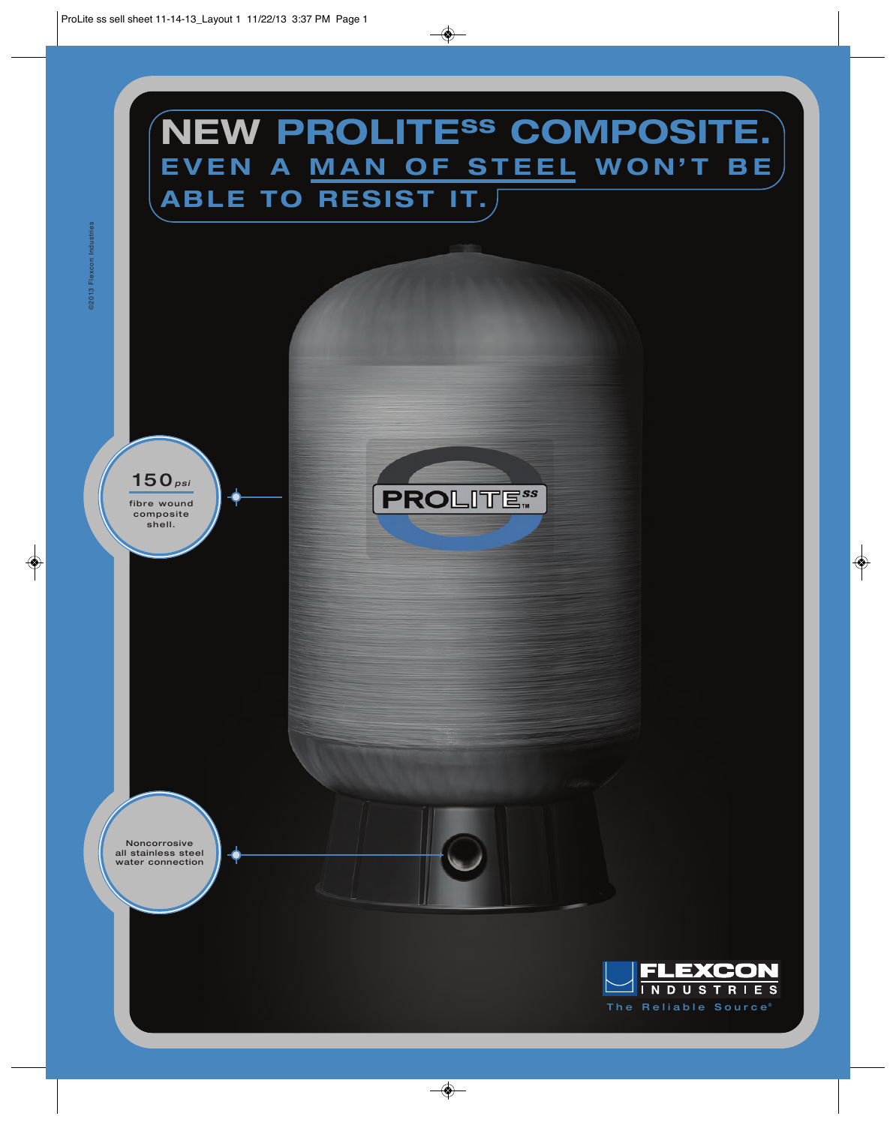

 $\clubsuit$ 

 $\overline{\bullet}$